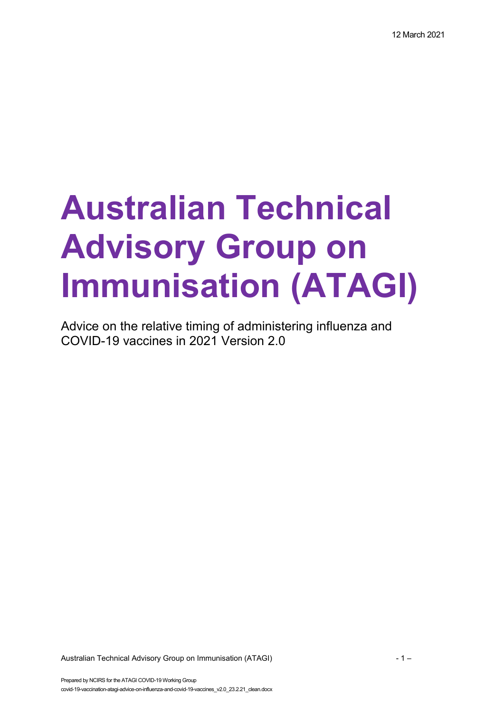# **Australian Technical Advisory Group on Immunisation (ATAGI)**

Advice on the relative timing of administering influenza and COVID-19 vaccines in 2021 Version 2.0

Australian Technical Advisory Group on Immunisation (ATAGI)  $-1 -$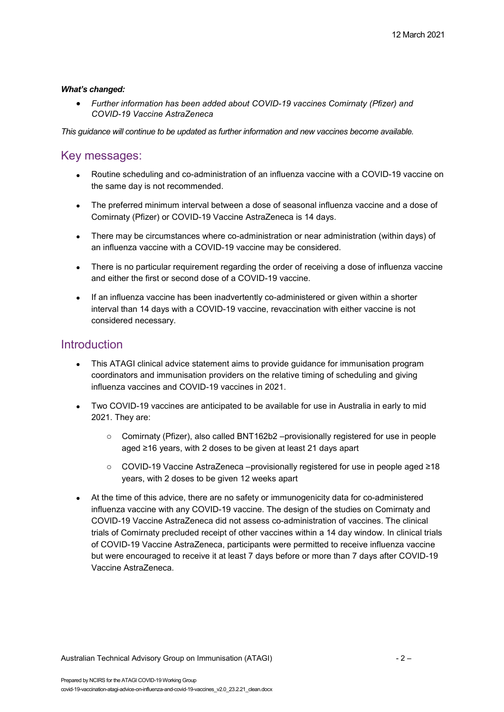#### *What's changed:*

• *Further information has been added about COVID-19 vaccines Comirnaty (Pfizer) and COVID-19 Vaccine AstraZeneca*

*This guidance will continue to be updated as further information and new vaccines become available.*

#### Key messages:

- Routine scheduling and co-administration of an influenza vaccine with a COVID-19 vaccine on the same day is not recommended.
- The preferred minimum interval between a dose of seasonal influenza vaccine and a dose of Comirnaty (Pfizer) or COVID-19 Vaccine AstraZeneca is 14 days.
- There may be circumstances where co-administration or near administration (within days) of an influenza vaccine with a COVID-19 vaccine may be considered.
- There is no particular requirement regarding the order of receiving a dose of influenza vaccine and either the first or second dose of a COVID-19 vaccine.
- If an influenza vaccine has been inadvertently co-administered or given within a shorter interval than 14 days with a COVID-19 vaccine, revaccination with either vaccine is not considered necessary.

#### **Introduction**

- This ATAGI clinical advice statement aims to provide guidance for immunisation program coordinators and immunisation providers on the relative timing of scheduling and giving influenza vaccines and COVID-19 vaccines in 2021.
- Two COVID-19 vaccines are anticipated to be available for use in Australia in early to mid 2021. They are:
	- $\circ$  Comirnaty (Pfizer), also called BNT162b2 –provisionally registered for use in people aged ≥16 years, with 2 doses to be given at least 21 days apart
	- o COVID-19 Vaccine AstraZeneca –provisionally registered for use in people aged ≥18 years, with 2 doses to be given 12 weeks apart
- At the time of this advice, there are no safety or immunogenicity data for co-administered influenza vaccine with any COVID-19 vaccine. The design of the studies on Comirnaty and COVID-19 Vaccine AstraZeneca did not assess co-administration of vaccines. The clinical trials of Comirnaty precluded receipt of other vaccines within a 14 day window. In clinical trials of COVID-19 Vaccine AstraZeneca, participants were permitted to receive influenza vaccine but were encouraged to receive it at least 7 days before or more than 7 days after COVID-19 Vaccine AstraZeneca.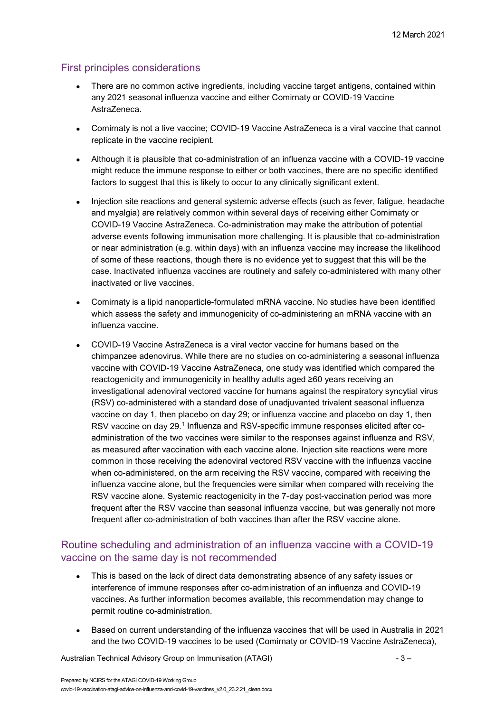### First principles considerations

- There are no common active ingredients, including vaccine target antigens, contained within any 2021 seasonal influenza vaccine and either Comirnaty or COVID-19 Vaccine AstraZeneca.
- Comirnaty is not a live vaccine: COVID-19 Vaccine AstraZeneca is a viral vaccine that cannot replicate in the vaccine recipient.
- Although it is plausible that co-administration of an influenza vaccine with a COVID-19 vaccine might reduce the immune response to either or both vaccines, there are no specific identified factors to suggest that this is likely to occur to any clinically significant extent.
- Injection site reactions and general systemic adverse effects (such as fever, fatigue, headache and myalgia) are relatively common within several days of receiving either Comirnaty or COVID-19 Vaccine AstraZeneca. Co-administration may make the attribution of potential adverse events following immunisation more challenging. It is plausible that co-administration or near administration (e.g. within days) with an influenza vaccine may increase the likelihood of some of these reactions, though there is no evidence yet to suggest that this will be the case. Inactivated influenza vaccines are routinely and safely co-administered with many other inactivated or live vaccines.
- Comirnaty is a lipid nanoparticle-formulated mRNA vaccine. No studies have been identified which assess the safety and immunogenicity of co-administering an mRNA vaccine with an influenza vaccine.
- COVID-19 Vaccine AstraZeneca is a viral vector vaccine for humans based on the chimpanzee adenovirus. While there are no studies on co-administering a seasonal influenza vaccine with COVID-19 Vaccine AstraZeneca, one study was identified which compared the reactogenicity and immunogenicity in healthy adults aged ≥60 years receiving an investigational adenoviral vectored vaccine for humans against the respiratory syncytial virus (RSV) co-administered with a standard dose of unadjuvanted trivalent seasonal influenza vaccine on day 1, then placebo on day 29; or influenza vaccine and placebo on day 1, then RSV vaccine on day 29. <sup>1</sup> Influenza and RSV-specific immune responses elicited after coadministration of the two vaccines were similar to the responses against influenza and RSV, as measured after vaccination with each vaccine alone. Injection site reactions were more common in those receiving the adenoviral vectored RSV vaccine with the influenza vaccine when co-administered, on the arm receiving the RSV vaccine, compared with receiving the influenza vaccine alone, but the frequencies were similar when compared with receiving the RSV vaccine alone. Systemic reactogenicity in the 7-day post-vaccination period was more frequent after the RSV vaccine than seasonal influenza vaccine, but was generally not more frequent after co-administration of both vaccines than after the RSV vaccine alone.

### Routine scheduling and administration of an influenza vaccine with a COVID-19 vaccine on the same day is not recommended

- This is based on the lack of direct data demonstrating absence of any safety issues or interference of immune responses after co-administration of an influenza and COVID-19 vaccines. As further information becomes available, this recommendation may change to permit routine co-administration.
- Based on current understanding of the influenza vaccines that will be used in Australia in 2021 and the two COVID-19 vaccines to be used (Comirnaty or COVID-19 Vaccine AstraZeneca),

Australian Technical Advisory Group on Immunisation (ATAGI)  $-3 -$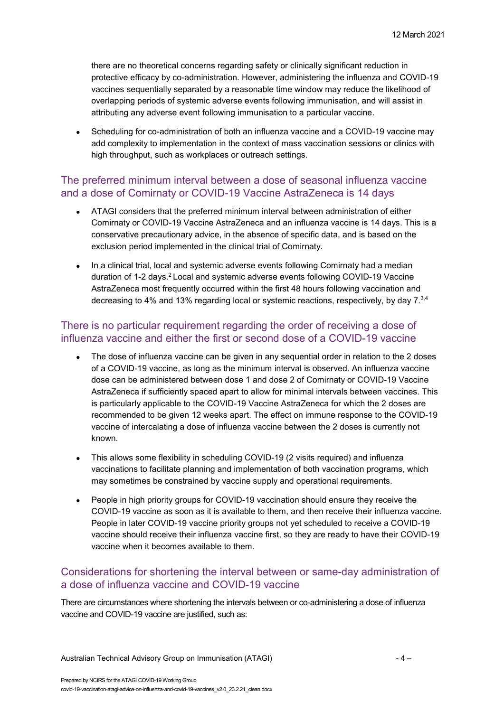there are no theoretical concerns regarding safety or clinically significant reduction in protective efficacy by co-administration. However, administering the influenza and COVID-19 vaccines sequentially separated by a reasonable time window may reduce the likelihood of overlapping periods of systemic adverse events following immunisation, and will assist in attributing any adverse event following immunisation to a particular vaccine.

• Scheduling for co-administration of both an influenza vaccine and a COVID-19 vaccine may add complexity to implementation in the context of mass vaccination sessions or clinics with high throughput, such as workplaces or outreach settings.

#### The preferred minimum interval between a dose of seasonal influenza vaccine and a dose of Comirnaty or COVID-19 Vaccine AstraZeneca is 14 days

- ATAGI considers that the preferred minimum interval between administration of either Comirnaty or COVID-19 Vaccine AstraZeneca and an influenza vaccine is 14 days. This is a conservative precautionary advice, in the absence of specific data, and is based on the exclusion period implemented in the clinical trial of Comirnaty.
- In a clinical trial, local and systemic adverse events following Comirnaty had a median duration of 1-2 days.<sup>2</sup> Local and systemic adverse events following COVID-19 Vaccine AstraZeneca most frequently occurred within the first 48 hours following vaccination and decreasing to 4% and 13% regarding local or systemic reactions, respectively, by day 7.3,4

#### There is no particular requirement regarding the order of receiving a dose of influenza vaccine and either the first or second dose of a COVID-19 vaccine

- The dose of influenza vaccine can be given in any sequential order in relation to the 2 doses of a COVID-19 vaccine, as long as the minimum interval is observed. An influenza vaccine dose can be administered between dose 1 and dose 2 of Comirnaty or COVID-19 Vaccine AstraZeneca if sufficiently spaced apart to allow for minimal intervals between vaccines. This is particularly applicable to the COVID-19 Vaccine AstraZeneca for which the 2 doses are recommended to be given 12 weeks apart. The effect on immune response to the COVID-19 vaccine of intercalating a dose of influenza vaccine between the 2 doses is currently not known.
- This allows some flexibility in scheduling COVID-19 (2 visits required) and influenza vaccinations to facilitate planning and implementation of both vaccination programs, which may sometimes be constrained by vaccine supply and operational requirements.
- People in high priority groups for COVID-19 vaccination should ensure they receive the COVID-19 vaccine as soon as it is available to them, and then receive their influenza vaccine. People in later COVID-19 vaccine priority groups not yet scheduled to receive a COVID-19 vaccine should receive their influenza vaccine first, so they are ready to have their COVID-19 vaccine when it becomes available to them.

### Considerations for shortening the interval between or same-day administration of a dose of influenza vaccine and COVID-19 vaccine

There are circumstances where shortening the intervals between or co-administering a dose of influenza vaccine and COVID-19 vaccine are justified, such as: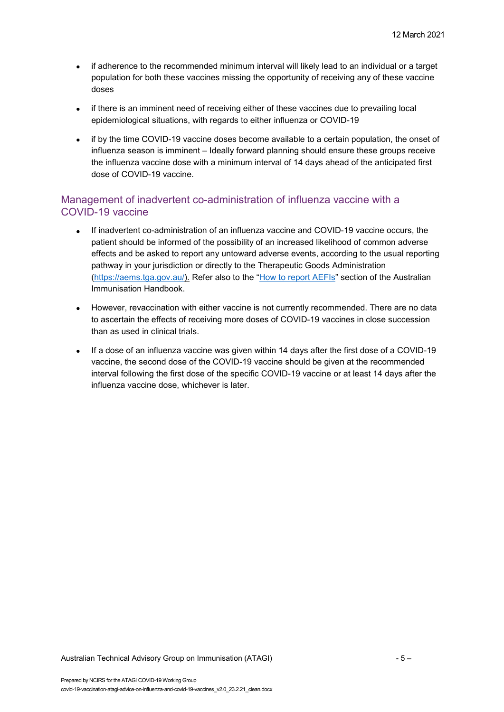- if adherence to the recommended minimum interval will likely lead to an individual or a target population for both these vaccines missing the opportunity of receiving any of these vaccine doses
- if there is an imminent need of receiving either of these vaccines due to prevailing local epidemiological situations, with regards to either influenza or COVID-19
- if by the time COVID-19 vaccine doses become available to a certain population, the onset of influenza season is imminent – Ideally forward planning should ensure these groups receive the influenza vaccine dose with a minimum interval of 14 days ahead of the anticipated first dose of COVID-19 vaccine.

## Management of inadvertent co-administration of influenza vaccine with a COVID-19 vaccine

- If inadvertent co-administration of an influenza vaccine and COVID-19 vaccine occurs, the patient should be informed of the possibility of an increased likelihood of common adverse effects and be asked to report any untoward adverse events, according to the usual reporting pathway in your jurisdiction or directly to the Therapeutic Goods Administration [\(https://aems.tga.gov.au/\)](https://aems.tga.gov.au/). Refer also to the ["How to report AEFIs"](https://immunisationhandbook.health.gov.au/vaccination-procedures/after-vaccination) section of the Australian Immunisation Handbook.
- However, revaccination with either vaccine is not currently recommended. There are no data to ascertain the effects of receiving more doses of COVID-19 vaccines in close succession than as used in clinical trials.
- If a dose of an influenza vaccine was given within 14 days after the first dose of a COVID-19 vaccine, the second dose of the COVID-19 vaccine should be given at the recommended interval following the first dose of the specific COVID-19 vaccine or at least 14 days after the influenza vaccine dose, whichever is later.